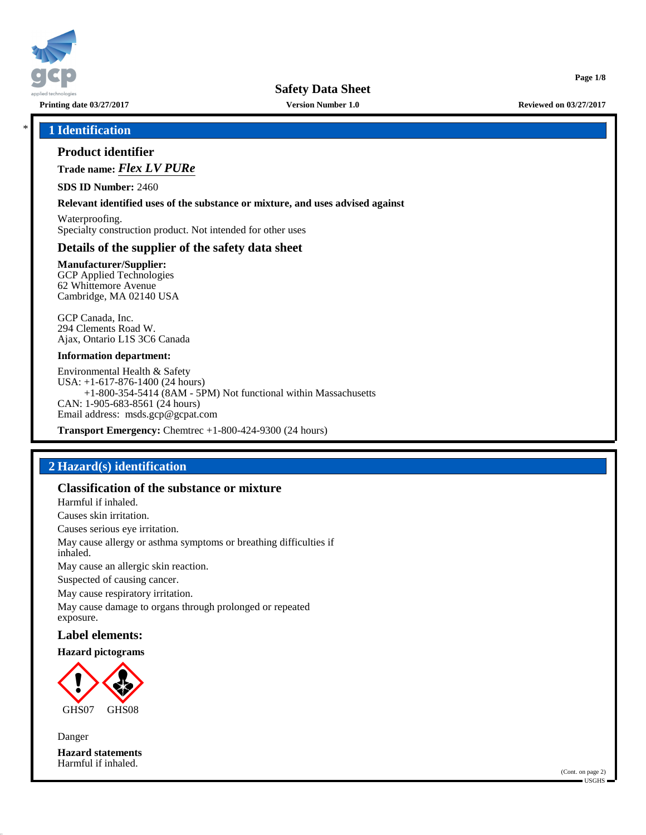

**Printing date 03/27/2017 Version Number 1.0 Reviewed on 03/27/2017**

**Page 1/8**

#### \* **1 Identification**

### **Product identifier**

**Trade name:** *Flex LV PURe*

**SDS ID Number:** 2460

**Relevant identified uses of the substance or mixture, and uses advised against**

Waterproofing. Specialty construction product. Not intended for other uses

### **Details of the supplier of the safety data sheet**

**Manufacturer/Supplier:** GCP Applied Technologies 62 Whittemore Avenue Cambridge, MA 02140 USA

GCP Canada, Inc. 294 Clements Road W. Ajax, Ontario L1S 3C6 Canada

#### **Information department:**

Environmental Health & Safety USA: +1-617-876-1400 (24 hours) +1-800-354-5414 (8AM - 5PM) Not functional within Massachusetts CAN: 1-905-683-8561 (24 hours) Email address: msds.gcp@gcpat.com

**Transport Emergency:** Chemtrec +1-800-424-9300 (24 hours)

# **2 Hazard(s) identification**

### **Classification of the substance or mixture**

Harmful if inhaled.

Causes skin irritation.

Causes serious eye irritation.

May cause allergy or asthma symptoms or breathing difficulties if inhaled.

May cause an allergic skin reaction.

Suspected of causing cancer.

May cause respiratory irritation.

May cause damage to organs through prolonged or repeated exposure.

# **Label elements:**

#### **Hazard pictograms**



Danger **Hazard statements** Harmful if inhaled.

> (Cont. on page 2) USGHS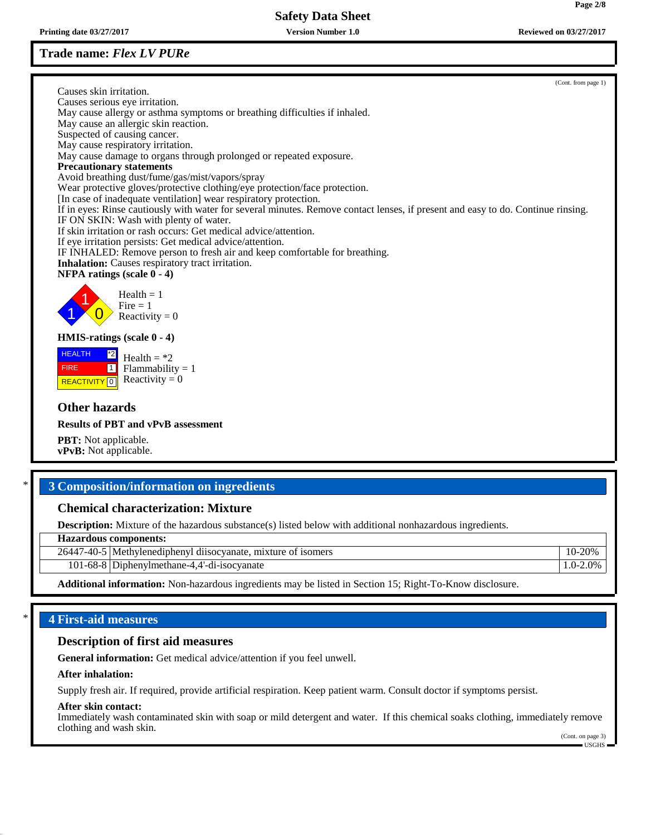# **Trade name:** *Flex LV PURe*

Causes skin irritation. Causes serious eye irritation. May cause allergy or asthma symptoms or breathing difficulties if inhaled. May cause an allergic skin reaction. Suspected of causing cancer. May cause respiratory irritation. May cause damage to organs through prolonged or repeated exposure. **Precautionary statements** Avoid breathing dust/fume/gas/mist/vapors/spray Wear protective gloves/protective clothing/eye protection/face protection. [In case of inadequate ventilation] wear respiratory protection. If in eyes: Rinse cautiously with water for several minutes. Remove contact lenses, if present and easy to do. Continue rinsing. IF ON SKIN: Wash with plenty of water. If skin irritation or rash occurs: Get medical advice/attention. If eye irritation persists: Get medical advice/attention. IF INHALED: Remove person to fresh air and keep comfortable for breathing. **Inhalation:** Causes respiratory tract irritation. **NFPA ratings (scale 0 - 4)** 1 1  $\overline{\mathbf{0}}$  $Health = 1$  $Fire = 1$ Reactivity  $= 0$ **HMIS-ratings (scale 0 - 4)** HEALTH FIRE **REACTIVITY** 0 \*2  $\boxed{1}$ Health  $=$  \*2  $Flammability = 1$ Reactivity  $= 0$ 

# **Other hazards**

**Results of PBT and vPvB assessment**

**PBT:** Not applicable. **vPvB:** Not applicable.

# \* **3 Composition/information on ingredients**

# **Chemical characterization: Mixture**

**Description:** Mixture of the hazardous substance(s) listed below with additional nonhazardous ingredients.

**Hazardous components:**

| 26447 | .<br>. mixture of<br><sup>-</sup> isomers<br>7-40-5   Methylenediphenyl diisocyanate. | 10-20%        |
|-------|---------------------------------------------------------------------------------------|---------------|
|       | 101-68-8 Diphenylmethane-4.4'-di-isocyanate                                           | $0.0 - 2.0\%$ |
|       |                                                                                       |               |

**Additional information:** Non-hazardous ingredients may be listed in Section 15; Right-To-Know disclosure.

# \* **4 First-aid measures**

### **Description of first aid measures**

**General information:** Get medical advice/attention if you feel unwell.

#### **After inhalation:**

Supply fresh air. If required, provide artificial respiration. Keep patient warm. Consult doctor if symptoms persist.

#### **After skin contact:**

Immediately wash contaminated skin with soap or mild detergent and water. If this chemical soaks clothing, immediately remove clothing and wash skin.

(Cont. on page 3) USGHS

(Cont. from page 1)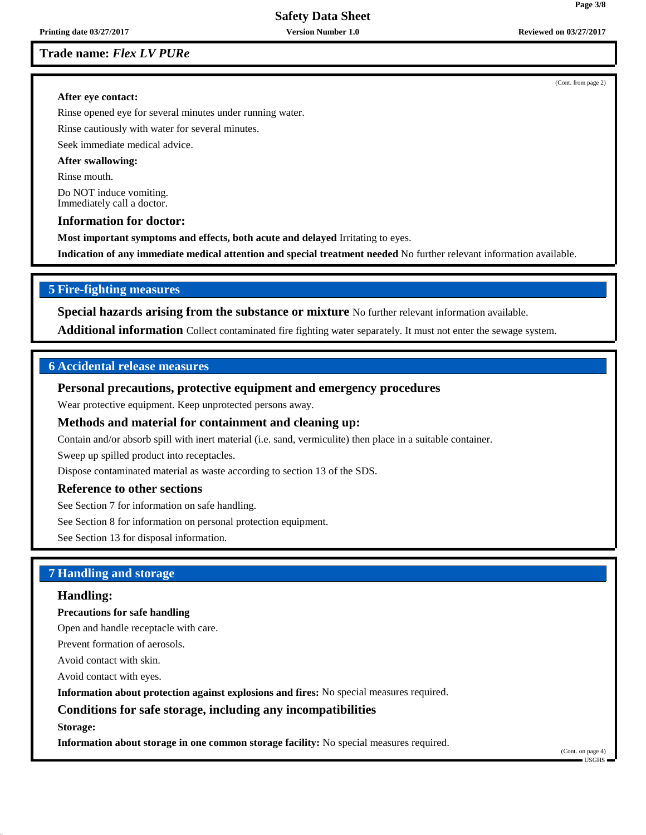**Trade name:** *Flex LV PURe*

#### **After eye contact:**

Rinse opened eye for several minutes under running water.

Rinse cautiously with water for several minutes.

Seek immediate medical advice.

#### **After swallowing:**

Rinse mouth.

Do NOT induce vomiting. Immediately call a doctor.

#### **Information for doctor:**

**Most important symptoms and effects, both acute and delayed** Irritating to eyes.

**Indication of any immediate medical attention and special treatment needed** No further relevant information available.

### **5 Fire-fighting measures**

**Special hazards arising from the substance or mixture** No further relevant information available.

**Additional information** Collect contaminated fire fighting water separately. It must not enter the sewage system.

# **6 Accidental release measures**

### **Personal precautions, protective equipment and emergency procedures**

Wear protective equipment. Keep unprotected persons away.

#### **Methods and material for containment and cleaning up:**

Contain and/or absorb spill with inert material (i.e. sand, vermiculite) then place in a suitable container.

Sweep up spilled product into receptacles.

Dispose contaminated material as waste according to section 13 of the SDS.

#### **Reference to other sections**

See Section 7 for information on safe handling.

See Section 8 for information on personal protection equipment.

See Section 13 for disposal information.

### **7 Handling and storage**

#### **Handling:**

#### **Precautions for safe handling**

Open and handle receptacle with care.

Prevent formation of aerosols.

Avoid contact with skin.

Avoid contact with eyes.

**Information about protection against explosions and fires:** No special measures required.

#### **Conditions for safe storage, including any incompatibilities**

**Storage:**

**Information about storage in one common storage facility:** No special measures required.

(Cont. on page 4) USGHS

(Cont. from page 2)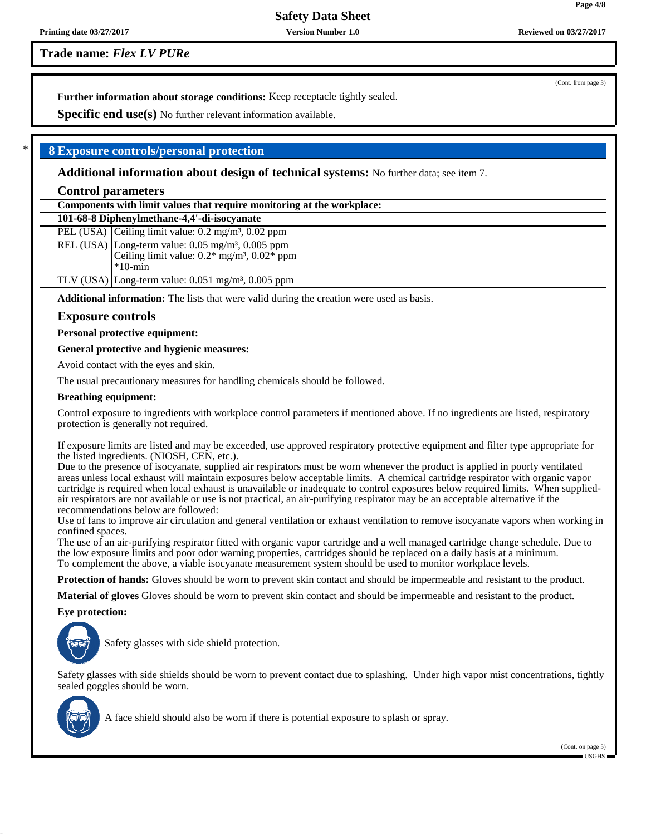**Trade name:** *Flex LV PURe*

**Further information about storage conditions:** Keep receptacle tightly sealed.

**Specific end use(s)** No further relevant information available.

# \* **8 Exposure controls/personal protection**

**Additional information about design of technical systems:** No further data; see item 7.

### **Control parameters**

| Components with limit values that require monitoring at the workplace: |                                                                          |  |  |  |
|------------------------------------------------------------------------|--------------------------------------------------------------------------|--|--|--|
|                                                                        | 101-68-8 Diphenylmethane-4,4'-di-isocyanate                              |  |  |  |
|                                                                        | PEL (USA) Ceiling limit value: $0.2 \text{ mg/m}^3$ , $0.02 \text{ ppm}$ |  |  |  |
|                                                                        | REL (USA) Long-term value: $0.05 \text{ mg/m}^3$ , $0.005 \text{ ppm}$   |  |  |  |
|                                                                        | Ceiling limit value: $0.2*$ mg/m <sup>3</sup> , $0.02*$ ppm              |  |  |  |
|                                                                        | $*10$ -min                                                               |  |  |  |

TLV (USA) Long-term value:  $0.051$  mg/m<sup>3</sup>,  $0.005$  ppm

**Additional information:** The lists that were valid during the creation were used as basis.

#### **Exposure controls**

**Personal protective equipment:**

**General protective and hygienic measures:**

Avoid contact with the eyes and skin.

The usual precautionary measures for handling chemicals should be followed.

#### **Breathing equipment:**

Control exposure to ingredients with workplace control parameters if mentioned above. If no ingredients are listed, respiratory protection is generally not required.

If exposure limits are listed and may be exceeded, use approved respiratory protective equipment and filter type appropriate for the listed ingredients. (NIOSH, CEN, etc.).

Due to the presence of isocyanate, supplied air respirators must be worn whenever the product is applied in poorly ventilated areas unless local exhaust will maintain exposures below acceptable limits. A chemical cartridge respirator with organic vapor cartridge is required when local exhaust is unavailable or inadequate to control exposures below required limits. When suppliedair respirators are not available or use is not practical, an air-purifying respirator may be an acceptable alternative if the recommendations below are followed:

Use of fans to improve air circulation and general ventilation or exhaust ventilation to remove isocyanate vapors when working in confined spaces.

The use of an air-purifying respirator fitted with organic vapor cartridge and a well managed cartridge change schedule. Due to the low exposure limits and poor odor warning properties, cartridges should be replaced on a daily basis at a minimum. To complement the above, a viable isocyanate measurement system should be used to monitor workplace levels.

**Protection of hands:** Gloves should be worn to prevent skin contact and should be impermeable and resistant to the product.

**Material of gloves** Gloves should be worn to prevent skin contact and should be impermeable and resistant to the product.

**Eye protection:**



Safety glasses with side shield protection.

Safety glasses with side shields should be worn to prevent contact due to splashing. Under high vapor mist concentrations, tightly sealed goggles should be worn.



A face shield should also be worn if there is potential exposure to splash or spray.

(Cont. from page 3)

**Page 4/8**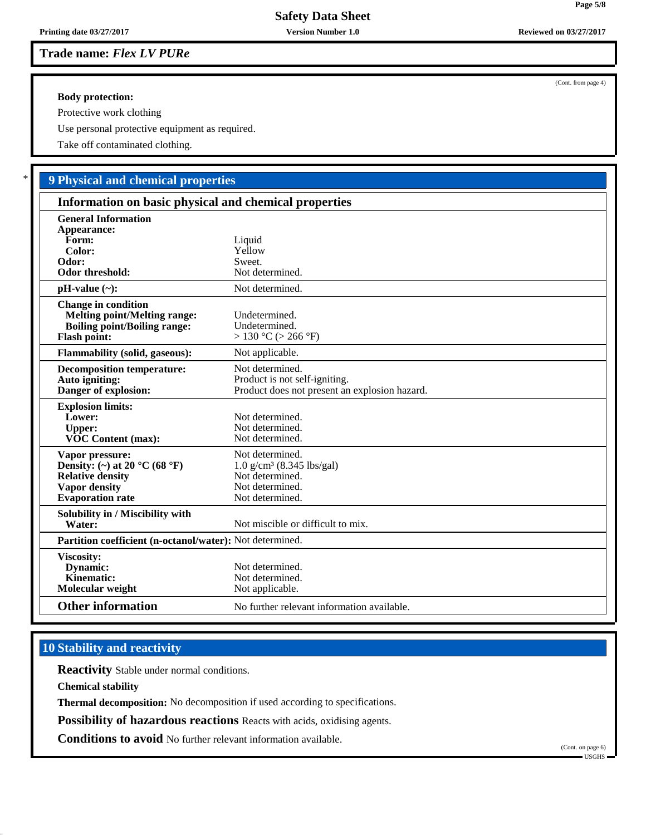**Trade name:** *Flex LV PURe*

#### **Body protection:**

Protective work clothing

Use personal protective equipment as required.

Take off contaminated clothing.

# \* **9 Physical and chemical properties**

| Information on basic physical and chemical properties                                                                                       |                                                                                                                     |  |  |  |
|---------------------------------------------------------------------------------------------------------------------------------------------|---------------------------------------------------------------------------------------------------------------------|--|--|--|
| <b>General Information</b><br>Appearance:<br>Form:<br>Color:<br>Odor:<br><b>Odor threshold:</b>                                             | Liquid<br>Yellow<br>Sweet.<br>Not determined.                                                                       |  |  |  |
| $pH-value (\sim):$                                                                                                                          | Not determined.                                                                                                     |  |  |  |
| <b>Change in condition</b><br><b>Melting point/Melting range:</b><br><b>Boiling point/Boiling range:</b><br><b>Flash point:</b>             | Undetermined.<br>Undetermined.<br>$> 130$ °C ( $> 266$ °F)                                                          |  |  |  |
| <b>Flammability (solid, gaseous):</b>                                                                                                       | Not applicable.                                                                                                     |  |  |  |
| <b>Decomposition temperature:</b><br>Auto igniting:<br>Danger of explosion:                                                                 | Not determined.<br>Product is not self-igniting.<br>Product does not present an explosion hazard.                   |  |  |  |
| <b>Explosion limits:</b><br>Lower:<br><b>Upper:</b><br><b>VOC Content (max):</b>                                                            | Not determined.<br>Not determined.<br>Not determined.                                                               |  |  |  |
| Vapor pressure:<br>Density: (~) at 20 $^{\circ}$ C (68 $^{\circ}$ F)<br><b>Relative density</b><br>Vapor density<br><b>Evaporation</b> rate | Not determined.<br>$1.0$ g/cm <sup>3</sup> (8.345 lbs/gal)<br>Not determined.<br>Not determined.<br>Not determined. |  |  |  |
| Solubility in / Miscibility with<br>Water:                                                                                                  | Not miscible or difficult to mix.                                                                                   |  |  |  |
| Partition coefficient (n-octanol/water): Not determined.                                                                                    |                                                                                                                     |  |  |  |
| Viscosity:<br>Dynamic:<br>Kinematic:<br>Molecular weight                                                                                    | Not determined.<br>Not determined.<br>Not applicable.                                                               |  |  |  |
| <b>Other information</b>                                                                                                                    | No further relevant information available.                                                                          |  |  |  |

# **10 Stability and reactivity**

**Reactivity** Stable under normal conditions.

**Chemical stability**

**Thermal decomposition:** No decomposition if used according to specifications.

**Possibility of hazardous reactions** Reacts with acids, oxidising agents.

**Conditions to avoid** No further relevant information available.

(Cont. on page 6) USGHS

**Page 5/8**

(Cont. from page 4)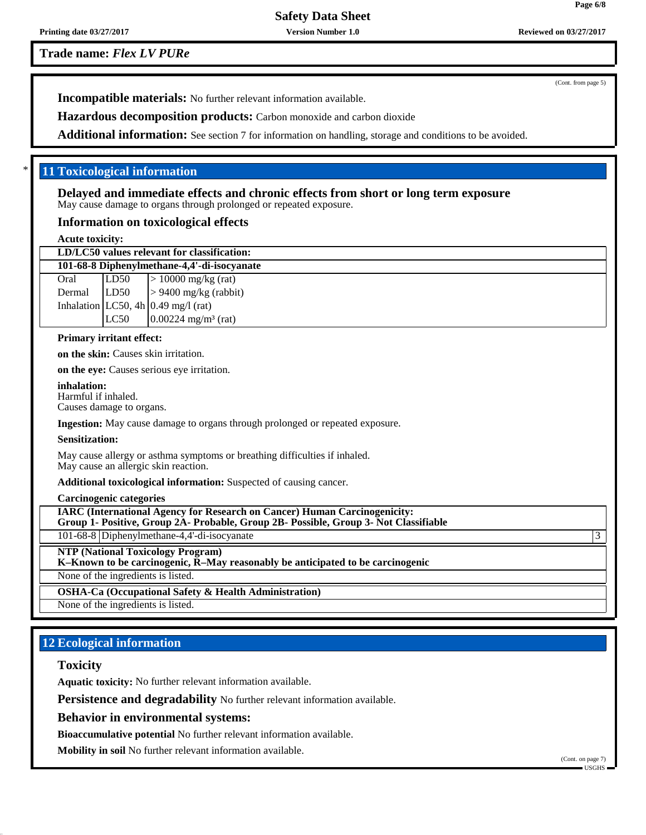**Trade name:** *Flex LV PURe*

(Cont. from page 5)

**Incompatible materials:** No further relevant information available.

**Hazardous decomposition products:** Carbon monoxide and carbon dioxide

Additional information: See section 7 for information on handling, storage and conditions to be avoided.

# \* **11 Toxicological information**

**Delayed and immediate effects and chronic effects from short or long term exposure** May cause damage to organs through prolonged or repeated exposure.

#### **Information on toxicological effects**

**Acute toxicity:**

| LD/LC50 values relevant for classification: |      |                                        |  |  |
|---------------------------------------------|------|----------------------------------------|--|--|
| 101-68-8 Diphenylmethane-4,4'-di-isocyanate |      |                                        |  |  |
| Oral                                        | LD50 | $\vert$ > 10000 mg/kg (rat)            |  |  |
|                                             |      | Dermal $ L D50  > 9400$ mg/kg (rabbit) |  |  |
|                                             |      | Inhalation LC50, 4h $0.49$ mg/l (rat)  |  |  |
|                                             | LC50 | $0.00224$ mg/m <sup>3</sup> (rat)      |  |  |
|                                             |      |                                        |  |  |

#### **Primary irritant effect:**

**on the skin:** Causes skin irritation.

**on the eye:** Causes serious eye irritation.

**inhalation:** Harmful if inhaled.

Causes damage to organs.

**Ingestion:** May cause damage to organs through prolonged or repeated exposure.

#### **Sensitization:**

May cause allergy or asthma symptoms or breathing difficulties if inhaled. May cause an allergic skin reaction.

**Additional toxicological information:** Suspected of causing cancer.

**Carcinogenic categories**

**IARC (International Agency for Research on Cancer) Human Carcinogenicity: Group 1- Positive, Group 2A- Probable, Group 2B- Possible, Group 3- Not Classifiable**

101-68-8 Diphenylmethane-4,4'-di-isocyanate 3

**NTP (National Toxicology Program)**

**K–Known to be carcinogenic, R–May reasonably be anticipated to be carcinogenic**

None of the ingredients is listed.

**OSHA-Ca (Occupational Safety & Health Administration)**

None of the ingredients is listed.

# **12 Ecological information**

#### **Toxicity**

**Aquatic toxicity:** No further relevant information available.

**Persistence and degradability** No further relevant information available.

**Behavior in environmental systems:**

**Bioaccumulative potential** No further relevant information available.

**Mobility in soil** No further relevant information available.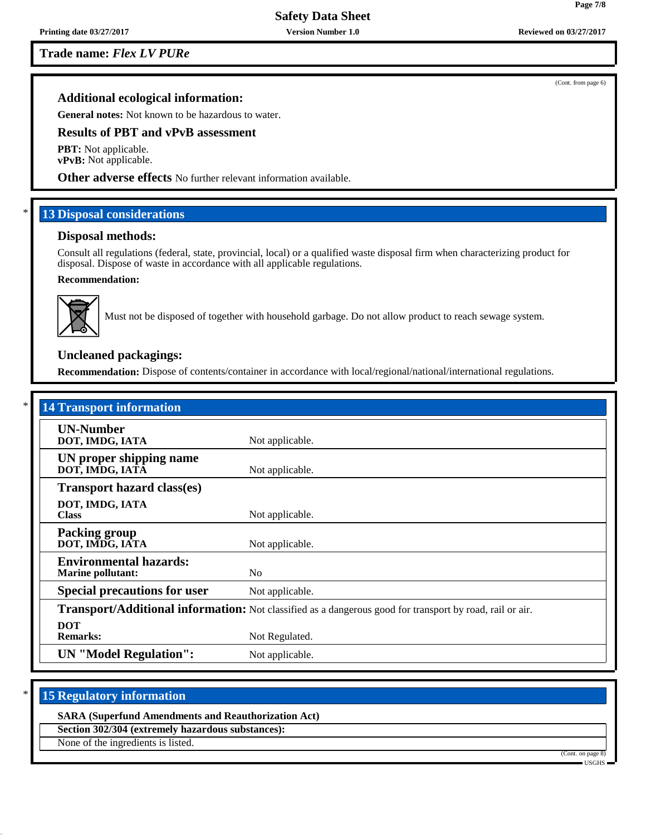**Trade name:** *Flex LV PURe*

### **Additional ecological information:**

**General notes:** Not known to be hazardous to water.

# **Results of PBT and vPvB assessment**

**PBT:** Not applicable. **vPvB:** Not applicable.

**Other adverse effects** No further relevant information available.

# **13 Disposal considerations**

#### **Disposal methods:**

Consult all regulations (federal, state, provincial, local) or a qualified waste disposal firm when characterizing product for disposal. Dispose of waste in accordance with all applicable regulations.

#### **Recommendation:**



Must not be disposed of together with household garbage. Do not allow product to reach sewage system.

# **Uncleaned packagings:**

**Recommendation:** Dispose of contents/container in accordance with local/regional/national/international regulations.

| <b>14 Transport information</b>                           |                                                                                                          |  |  |  |  |
|-----------------------------------------------------------|----------------------------------------------------------------------------------------------------------|--|--|--|--|
| <b>UN-Number</b><br>DOT, IMDG, IATA                       | Not applicable.                                                                                          |  |  |  |  |
| UN proper shipping name<br>DOT, IMDG, IATA                | Not applicable.                                                                                          |  |  |  |  |
| <b>Transport hazard class(es)</b>                         |                                                                                                          |  |  |  |  |
| DOT, IMDG, IATA<br><b>Class</b>                           | Not applicable.                                                                                          |  |  |  |  |
| <b>Packing group</b><br>DOT, IMDG, IATA                   | Not applicable.                                                                                          |  |  |  |  |
| <b>Environmental hazards:</b><br><b>Marine pollutant:</b> | N <sub>o</sub>                                                                                           |  |  |  |  |
| <b>Special precautions for user</b>                       | Not applicable.                                                                                          |  |  |  |  |
|                                                           | Transport/Additional information: Not classified as a dangerous good for transport by road, rail or air. |  |  |  |  |
| <b>DOT</b><br><b>Remarks:</b>                             | Not Regulated.                                                                                           |  |  |  |  |
| <b>UN</b> "Model Regulation":                             | Not applicable.                                                                                          |  |  |  |  |

# **15 Regulatory information**

#### **SARA (Superfund Amendments and Reauthorization Act)**

**Section 302/304 (extremely hazardous substances):**

None of the ingredients is listed.



(Cont. from page 6)

**Page 7/8**